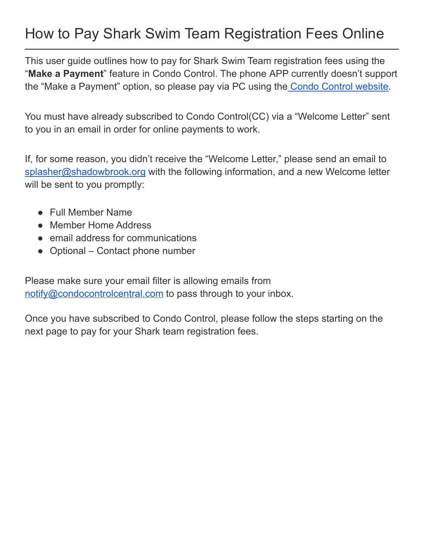## How to Pay Shark Swim Team Registration Fees Online

This user guide outlines how to pay for Shark Swim Team registration fees using the "**Make a Payment**" feature in Condo Control. The phone APP currently doesn't support the "Make a Payment" option, so please pay via PC using the Condo Control [website.](https://condocontrolcentral.com/login)

You must have already subscribed to Condo Control(CC) via a "Welcome Letter" sent to you in an email in order for online payments to work.

If, for some reason, you didn't receive the "Welcome Letter," please send an email to [splasher@shadowbrook.org](mailto:splasher@shadowbrook.org) with the following information, and a new Welcome letter will be sent to you promptly:

- Full Member Name
- Member Home Address
- email address for communications
- Optional Contact phone number

Please make sure your email filter is allowing emails from [notify@condocontrolcentral.com](mailto:notify@condocontrolcentral.com) to pass through to your inbox.

Once you have subscribed to Condo Control, please follow the steps starting on the next page to pay for your Shark team registration fees.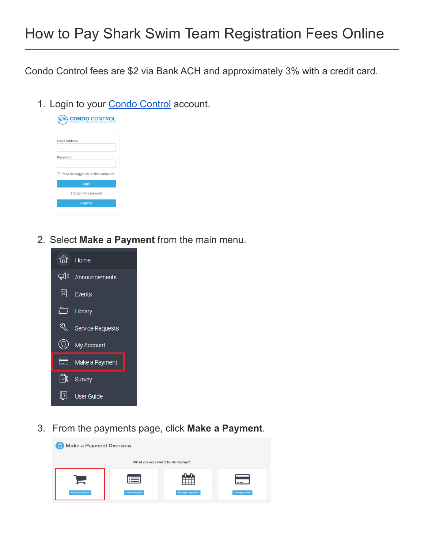## How to Pay Shark Swim Team Registration Fees Online

Condo Control fees are \$2 via Bank ACH and approximately 3% with a credit card.

1. Login to your Condo [Control](https://condocontrolcentral.com/login) account.



2. Select **Make a Payment** from the main menu.



3. From the payments page, click **Make a Payment**.

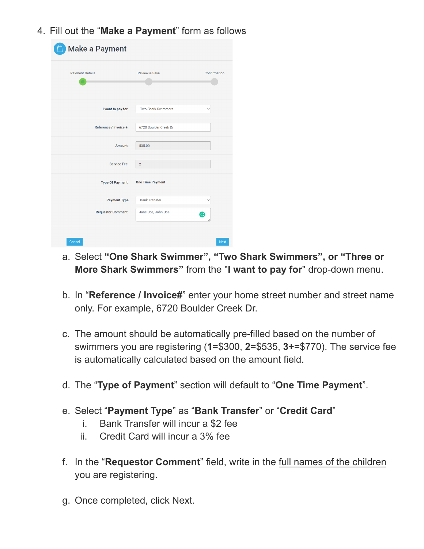4. Fill out the "**Make a Payment**" form as follows

| <b>Make a Payment</b>     |                           |              |
|---------------------------|---------------------------|--------------|
| <b>Payment Details</b>    | <b>Review &amp; Save</b>  | Confirmation |
| I want to pay for:        | <b>Two Shark Swimmers</b> | $\check{~}$  |
| Reference / Invoice #:    | 6720 Boulder Creek Dr     |              |
| Amount:                   | 535.00                    |              |
| <b>Service Fee:</b>       | $\overline{2}$            |              |
| <b>Type Of Payment:</b>   | <b>One Time Payment</b>   |              |
| <b>Payment Type</b>       | <b>Bank Transfer</b>      |              |
| <b>Requestor Comment:</b> | Jane Doe, John Doe        | G            |
| Cancel                    |                           | <b>Next</b>  |

- a. Select **"One Shark Swimmer", "Two Shark Swimmers", or "Three or More Shark Swimmers"** from the "**I want to pay for**" drop-down menu.
- b. In "**Reference / Invoice#**" enter your home street number and street name only. For example, 6720 Boulder Creek Dr.
- c. The amount should be automatically pre-filled based on the number of swimmers you are registering (**1**=\$300, **2**=\$535, **3+**=\$770). The service fee is automatically calculated based on the amount field.
- d. The "**Type of Payment**" section will default to "**One Time Payment**".
- e. Select "**Payment Type**" as "**Bank Transfer**" or "**Credit Card**"
	- i. Bank Transfer will incur a \$2 fee
	- ii. Credit Card will incur a 3% fee
- f. In the "**Requestor Comment**" field, write in the full names of the children you are registering.
- g. Once completed, click Next.